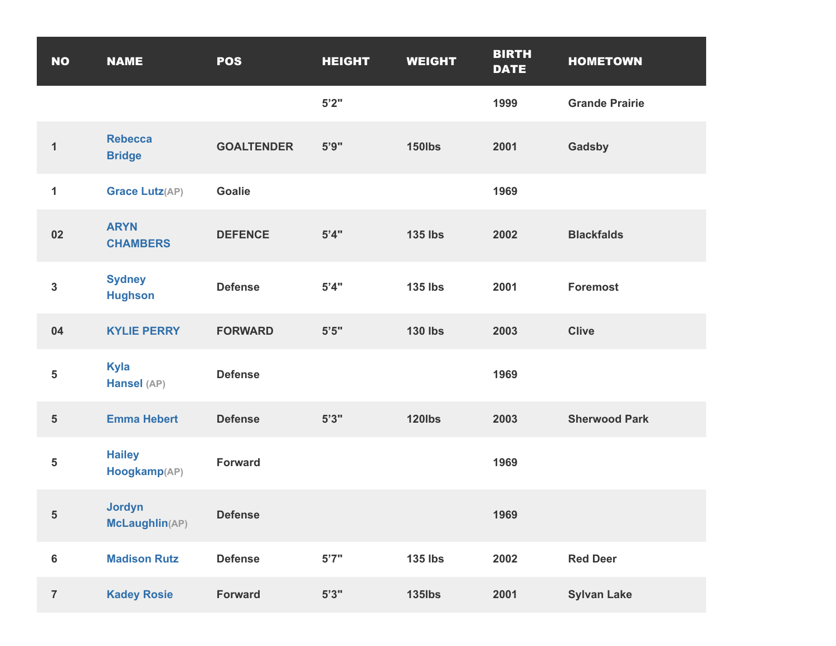| <b>NO</b>               | <b>NAME</b>                     | <b>POS</b>        | <b>HEIGHT</b> | <b>WEIGHT</b>  | <b>BIRTH</b><br><b>DATE</b> | <b>HOMETOWN</b>       |
|-------------------------|---------------------------------|-------------------|---------------|----------------|-----------------------------|-----------------------|
|                         |                                 |                   | 5'2''         |                | 1999                        | <b>Grande Prairie</b> |
| $\mathbf{1}$            | <b>Rebecca</b><br><b>Bridge</b> | <b>GOALTENDER</b> | 5'9''         | <b>150lbs</b>  | 2001                        | Gadsby                |
| 1                       | <b>Grace Lutz(AP)</b>           | <b>Goalie</b>     |               |                | 1969                        |                       |
| 02                      | <b>ARYN</b><br><b>CHAMBERS</b>  | <b>DEFENCE</b>    | 5'4"          | <b>135 lbs</b> | 2002                        | <b>Blackfalds</b>     |
| $\mathbf{3}$            | <b>Sydney</b><br><b>Hughson</b> | <b>Defense</b>    | 5'4"          | <b>135 lbs</b> | 2001                        | <b>Foremost</b>       |
| 04                      | <b>KYLIE PERRY</b>              | <b>FORWARD</b>    | $5'5"$        | <b>130 lbs</b> | 2003                        | <b>Clive</b>          |
| 5                       | Kyla<br>Hansel (AP)             | <b>Defense</b>    |               |                | 1969                        |                       |
| $\sqrt{5}$              | <b>Emma Hebert</b>              | <b>Defense</b>    | 5'3''         | <b>120lbs</b>  | 2003                        | <b>Sherwood Park</b>  |
| 5                       | <b>Hailey</b><br>Hoogkamp(AP)   | <b>Forward</b>    |               |                | 1969                        |                       |
| $\overline{\mathbf{5}}$ | <b>Jordyn</b><br>McLaughlin(AP) | <b>Defense</b>    |               |                | 1969                        |                       |
| $\bf 6$                 | <b>Madison Rutz</b>             | <b>Defense</b>    | 5'7''         | <b>135 lbs</b> | 2002                        | <b>Red Deer</b>       |
| $\overline{7}$          | <b>Kadey Rosie</b>              | <b>Forward</b>    | 5'3''         | <b>135lbs</b>  | 2001                        | <b>Sylvan Lake</b>    |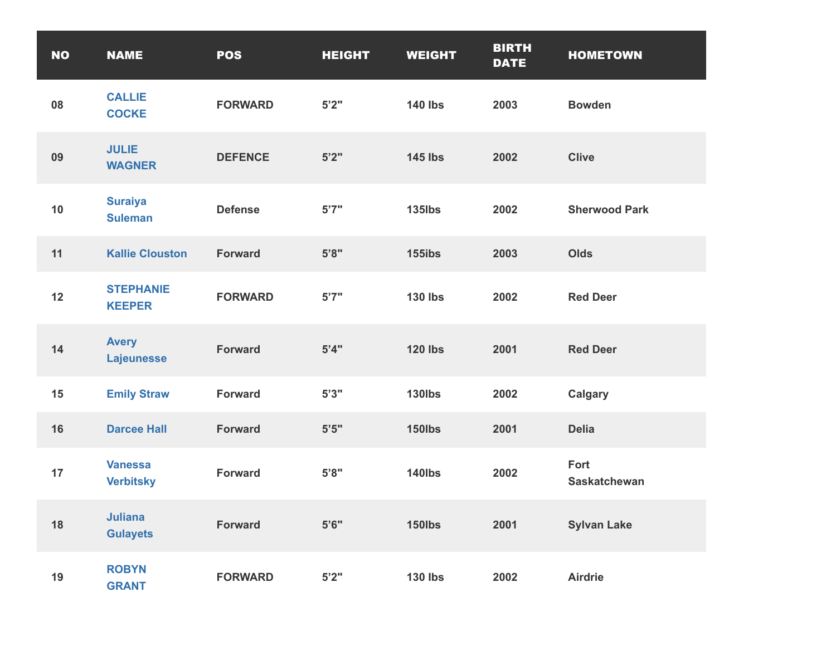| <b>NO</b> | <b>NAME</b>                        | <b>POS</b>     | <b>HEIGHT</b> | <b>WEIGHT</b>  | <b>BIRTH</b><br><b>DATE</b> | <b>HOMETOWN</b>             |
|-----------|------------------------------------|----------------|---------------|----------------|-----------------------------|-----------------------------|
| 08        | <b>CALLIE</b><br><b>COCKE</b>      | <b>FORWARD</b> | 5'2"          | <b>140 lbs</b> | 2003                        | <b>Bowden</b>               |
| 09        | <b>JULIE</b><br><b>WAGNER</b>      | <b>DEFENCE</b> | 5'2"          | <b>145 lbs</b> | 2002                        | <b>Clive</b>                |
| 10        | <b>Suraiya</b><br><b>Suleman</b>   | <b>Defense</b> | 5'7''         | <b>135lbs</b>  | 2002                        | <b>Sherwood Park</b>        |
| 11        | <b>Kallie Clouston</b>             | <b>Forward</b> | 5'8"          | <b>155ibs</b>  | 2003                        | <b>Olds</b>                 |
| 12        | <b>STEPHANIE</b><br><b>KEEPER</b>  | <b>FORWARD</b> | 5'7''         | <b>130 lbs</b> | 2002                        | <b>Red Deer</b>             |
| 14        | <b>Avery</b><br><b>Lajeunesse</b>  | <b>Forward</b> | 5'4"          | <b>120 lbs</b> | 2001                        | <b>Red Deer</b>             |
| 15        | <b>Emily Straw</b>                 | <b>Forward</b> | 5'3''         | <b>130lbs</b>  | 2002                        | <b>Calgary</b>              |
| 16        | <b>Darcee Hall</b>                 | <b>Forward</b> | $5'5"$        | <b>150lbs</b>  | 2001                        | <b>Delia</b>                |
| 17        | <b>Vanessa</b><br><b>Verbitsky</b> | <b>Forward</b> | 5'8"          | <b>140lbs</b>  | 2002                        | Fort<br><b>Saskatchewan</b> |
| 18        | <b>Juliana</b><br><b>Gulayets</b>  | <b>Forward</b> | 5'6''         | <b>150lbs</b>  | 2001                        | <b>Sylvan Lake</b>          |
| 19        | <b>ROBYN</b><br><b>GRANT</b>       | <b>FORWARD</b> | 5'2"          | <b>130 lbs</b> | 2002                        | <b>Airdrie</b>              |